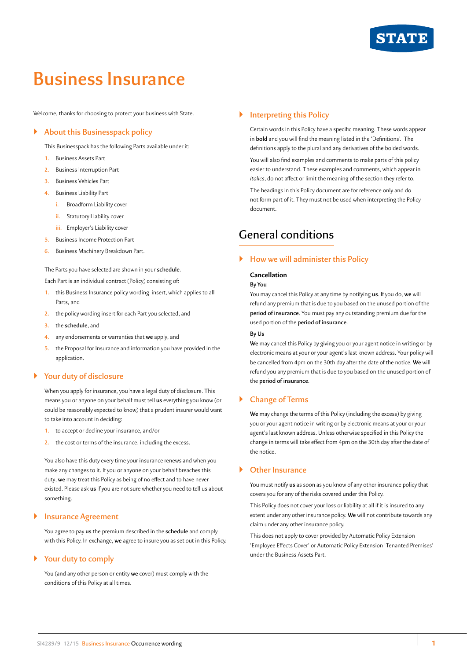

# **Business Insurance**

Welcome, thanks for choosing to protect your business with State.

# ` **About this Businesspack policy**

This Businesspack has the following Parts available under it:

- **1.** Business Assets Part
- **2.** Business Interruption Part
- **3.** Business Vehicles Part
- **4.** Business Liability Part
	- **i.** Broadform Liability cover
	- **ii.** Statutory Liability cover
	- **iii.** Employer's Liability cover
- **5.** Business Income Protection Part
- **6.** Business Machinery Breakdown Part.

The Parts you have selected are shown in your **schedule**.

Each Part is an individual contract (Policy) consisting of:

- **1.** this Business Insurance policy wording insert, which applies to all Parts, and
- **2.** the policy wording insert for each Part you selected, and
- **3.** the **schedule**, and
- **4.** any endorsements or warranties that **we** apply, and
- **5.** the Proposal for Insurance and information you have provided in the application.

#### ` **Your duty of disclosure**

When you apply for insurance, you have a legal duty of disclosure. This means you or anyone on your behalf must tell **us** everything you know (or could be reasonably expected to know) that a prudent insurer would want to take into account in deciding:

- **1.** to accept or decline your insurance, and/or
- **2.** the cost or terms of the insurance, including the excess.

You also have this duty every time your insurance renews and when you make any changes to it. If you or anyone on your behalf breaches this duty, **we** may treat this Policy as being of no effect and to have never existed. Please ask **us** if you are not sure whether you need to tell us about something.

### ` **Insurance Agreement**

You agree to pay **us** the premium described in the **schedule** and comply with this Policy. In exchange, **we** agree to insure you as set out in this Policy.

#### ` **Your duty to comply**

You (and any other person or entity **we** cover) must comply with the conditions of this Policy at all times.

# ` **Interpreting this Policy**

Certain words in this Policy have a specific meaning. These words appear in **bold** and you will find the meaning listed in the 'Definitions'. The definitions apply to the plural and any derivatives of the bolded words. You will also find examples and comments to make parts of this policy easier to understand. These examples and comments, which appear in *italics*, do not affect or limit the meaning of the section they refer to. The headings in this Policy document are for reference only and do not form part of it. They must not be used when interpreting the Policy document.

# General conditions

#### ` **How we will administer this Policy**

#### **Cancellation**

#### **By You**

You may cancel this Policy at any time by notifying **us**. If you do, **we** will refund any premium that is due to you based on the unused portion of the **period of insurance**. You must pay any outstanding premium due for the used portion of the **period of insurance**.

#### **By Us**

**We** may cancel this Policy by giving you or your agent notice in writing or by electronic means at your or your agent's last known address. Your policy will be cancelled from 4pm on the 30th day after the date of the notice. **We** will refund you any premium that is due to you based on the unused portion of the **period of insurance**.

# ` **Change of Terms**

**We** may change the terms of this Policy (including the excess) by giving you or your agent notice in writing or by electronic means at your or your agent's last known address. Unless otherwise specified in this Policy the change in terms will take effect from 4pm on the 30th day after the date of the notice.

# ` **Other Insurance**

You must notify **us** as soon as you know of any other insurance policy that covers you for any of the risks covered under this Policy.

This Policy does not cover your loss or liability at all if it is insured to any extent under any other insurance policy. **We** will not contribute towards any claim under any other insurance policy.

This does not apply to cover provided by Automatic Policy Extension 'Employee Effects Cover' or Automatic Policy Extension 'Tenanted Premises' under the Business Assets Part.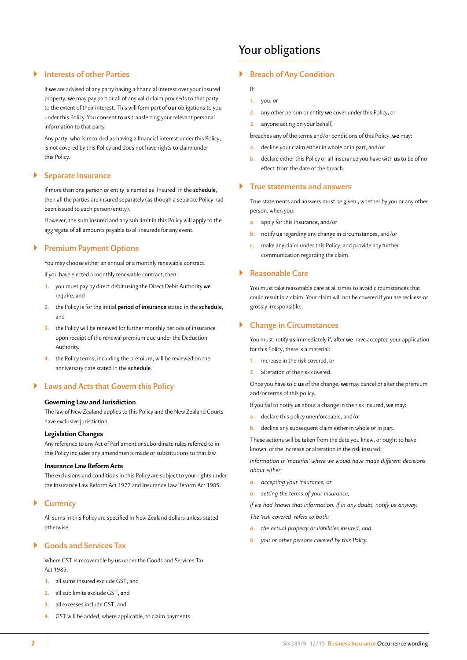# ` **Interests of other Parties**

If **we** are advised of any party having a financial interest over your insured property, **we** may pay part or all of any valid claim proceeds to that party to the extent of their interest. This will form part of **our** obligations to you under this Policy. You consent to **us** transferring your relevant personal information to that party.

Any party, who is recorded as having a financial interest under this Policy, is not covered by this Policy and does not have rights to claim under this Policy.

#### ` **Separate Insurance**

If more than one person or entity is named as 'Insured' in the **schedule**, then all the parties are insured separately (as though a separate Policy had been issued to each person/entity).

However, the sum insured and any sub limit in this Policy will apply to the aggregate of all amounts payable to all insureds for any event.

# ` **Premium Payment Options**

You may choose either an annual or a monthly renewable contract.

If you have elected a monthly renewable contract, then:

- **1.** you must pay by direct debit using the Direct Debit Authority **we** require, and
- **2.** the Policy is for the initial **period of insurance** stated in the **schedule**, and
- **3.** the Policy will be renewed for further monthly periods of insurance upon receipt of the renewal premium due under the Deduction Authority.
- **4.** the Policy terms, including the premium, will be reviewed on the anniversary date stated in the **schedule**.

### ` **Laws and Acts that Govern this Policy**

#### **Governing Law and Jurisdiction**

The law of New Zealand applies to this Policy and the New Zealand Courts have exclusive jurisdiction.

#### **Legislation Changes**

Any reference to any Act of Parliament or subordinate rules referred to in this Policy includes any amendments made or substitutions to that law.

#### **Insurance Law Reform Acts**

The exclusions and conditions in this Policy are subject to your rights under the Insurance Law Reform Act 1977 and Insurance Law Reform Act 1985.

#### ` **Currency**

All sums in this Policy are specified in New Zealand dollars unless stated otherwise.

# ` **Goods and Services Tax**

Where GST is recoverable by **us** under the Goods and Services Tax Act 1985:

- **1.** all sums insured exclude GST, and
- **2.** all sub limits exclude GST, and
- **3.** all excesses include GST, and
- **4.** GST will be added, where applicable, to claim payments.

# Your obligations

### ` **Breach of Any Condition**

If:

- **1.** you, or
- **2.** any other person or entity **we** cover under this Policy, or
- **3.** anyone acting on your behalf,
- breaches any of the terms and/or conditions of this Policy, **we** may:
- **a.** decline your claim either in whole or in part, and/or
- **b.** declare either this Policy or all insurance you have with **us** to be of no effect from the date of the breach.

#### ` **True statements and answers**

True statements and answers must be given , whether by you or any other person, when you:

- **a.** apply for this insurance, and/or
- **b.** notify **us** regarding any change in circumstances, and/or
- **c.** make any claim under this Policy, and provide any further communication regarding the claim.

#### ` **Reasonable Care**

You must take reasonable care at all times to avoid circumstances that could result in a claim. Your claim will not be covered if you are reckless or grossly irresponsible.

### ` **Change in Circumstances**

You must notify **us** immediately if, after **we** have accepted your application for this Policy, there is a material:

- **1.** increase in the risk covered, or
- **2.** alteration of the risk covered.

Once you have told **us** of the change, **we** may cancel or alter the premium and/or terms of this policy.

If you fail to notify **us** about a change in the risk insured, **we** may:

- **a.** declare this policy unenforceable, and/or
- **b.** decline any subsequent claim either in whole or in part.

These actions will be taken from the date you knew, or ought to have known, of the increase or alteration in the risk insured.

*Information is 'material' where we would have made different decisions about either:*

- *a. accepting your insurance, or*
- *b. setting the terms of your insurance,*

*if we had known that information. If in any doubt, notify us anyway. The 'risk covered' refers to both:*

- *a. the actual property or liabilities insured, and*
- *b. you or other persons covered by this Policy.*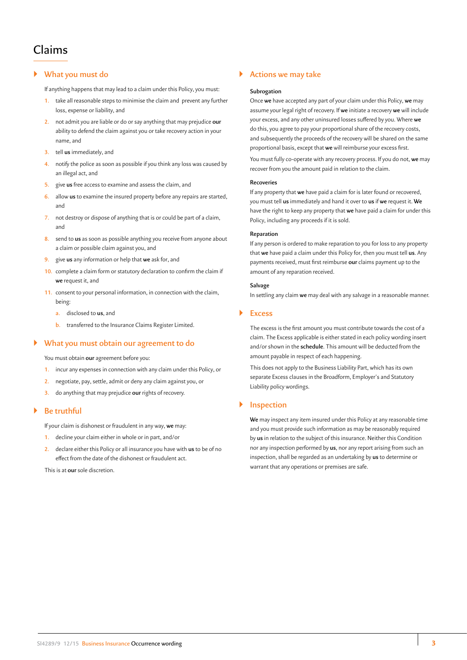# ` **What you must do**

If anything happens that may lead to a claim under this Policy, you must:

- **1.** take all reasonable steps to minimise the claim and prevent any further loss, expense or liability, and
- **2.** not admit you are liable or do or say anything that may prejudice **our** ability to defend the claim against you or take recovery action in your name, and
- **3.** tell **us** immediately, and
- **4.** notify the police as soon as possible if you think any loss was caused by an illegal act, and
- **5.** give **us** free access to examine and assess the claim, and
- **6.** allow **us** to examine the insured property before any repairs are started, and
- **7.** not destroy or dispose of anything that is or could be part of a claim, and
- **8.** send to **us** as soon as possible anything you receive from anyone about a claim or possible claim against you, and
- **9.** give **us** any information or help that **we** ask for, and
- **10.** complete a claim form or statutory declaration to confirm the claim if **we** request it, and
- **11.** consent to your personal information, in connection with the claim, being:
	- **a.** disclosed to **us**, and
	- **b.** transferred to the Insurance Claims Register Limited.

#### ` **What you must obtain our agreement to do**

You must obtain **our** agreement before you:

- **1.** incur any expenses in connection with any claim under this Policy, or
- **2.** negotiate, pay, settle, admit or deny any claim against you, or
- **3.** do anything that may prejudice **our** rights of recovery.

# ` **Be truthful**

If your claim is dishonest or fraudulent in any way, **we** may:

- **1.** decline your claim either in whole or in part, and/or
- **2.** declare either this Policy or all insurance you have with **us** to be of no effect from the date of the dishonest or fraudulent act.

This is at **our** sole discretion.

# ` **Actions we may take**

#### **Subrogation**

Once **we** have accepted any part of your claim under this Policy, **we** may assume your legal right of recovery. If **we** initiate a recovery **we** will include your excess, and any other uninsured losses suffered by you. Where **we** do this, you agree to pay your proportional share of the recovery costs, and subsequently the proceeds of the recovery will be shared on the same proportional basis, except that **we** will reimburse your excess first.

You must fully co-operate with any recovery process. If you do not, **we** may recover from you the amount paid in relation to the claim.

#### **Recoveries**

If any property that **we** have paid a claim for is later found or recovered, you must tell **us** immediately and hand it over to **us** if **we** request it. **We** have the right to keep any property that **we** have paid a claim for under this Policy, including any proceeds if it is sold.

#### **Reparation**

If any person is ordered to make reparation to you for loss to any property that **we** have paid a claim under this Policy for, then you must tell **us**. Any payments received, must first reimburse **our** claims payment up to the amount of any reparation received.

#### **Salvage**

In settling any claim **we** may deal with any salvage in a reasonable manner.

#### ` **Excess**

The excess is the first amount you must contribute towards the cost of a claim. The Excess applicable is either stated in each policy wording insert and/or shown in the **schedule**. This amount will be deducted from the amount payable in respect of each happening.

This does not apply to the Business Liability Part, which has its own separate Excess clauses in the Broadform, Employer's and Statutory Liability policy wordings.

#### ` **Inspection**

**We** may inspect any item insured under this Policy at any reasonable time and you must provide such information as may be reasonably required by **us** in relation to the subject of this insurance. Neither this Condition nor any inspection performed by **us**, nor any report arising from such an inspection, shall be regarded as an undertaking by **us** to determine or warrant that any operations or premises are safe.